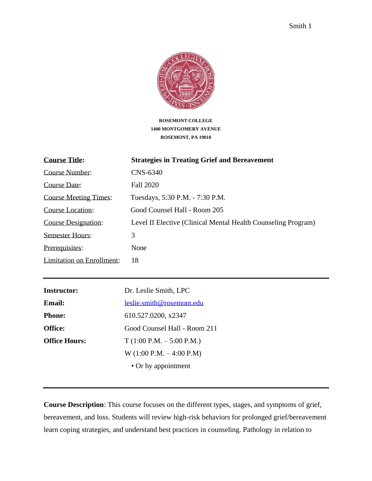

**ROSEMONT COLLEGE 1400 MONTGOMERY AVENUE ROSEMONT, PA 19010**

| <b>Course Title:</b>         | <b>Strategies in Treating Grief and Bereavement</b>           |
|------------------------------|---------------------------------------------------------------|
| Course Number:               | CNS-6340                                                      |
| Course Date:                 | <b>Fall 2020</b>                                              |
| <b>Course Meeting Times:</b> | Tuesdays, 5:30 P.M. - 7:30 P.M.                               |
| Course Location:             | Good Counsel Hall - Room 205                                  |
| <b>Course Designation:</b>   | Level II Elective (Clinical Mental Health Counseling Program) |
| <b>Semester Hours:</b>       | 3                                                             |
| Prerequisites:               | None                                                          |
| Limitation on Enrollment:    | 18                                                            |

| <b>Instructor:</b>   | Dr. Leslie Smith, LPC        |
|----------------------|------------------------------|
| <b>Email:</b>        | leslie.smith@rosemont.edu    |
| <b>Phone:</b>        | 610.527.0200, x2347          |
| <b>Office:</b>       | Good Counsel Hall - Room 211 |
| <b>Office Hours:</b> | $T(1:00 P.M. - 5:00 P.M.)$   |
|                      | $W(1:00 P.M. - 4:00 P.M)$    |
|                      | • Or by appointment          |

**Course Description**: This course focuses on the different types, stages, and symptoms of grief, bereavement, and loss. Students will review high-risk behaviors for prolonged grief/bereavement learn coping strategies, and understand best practices in counseling. Pathology in relation to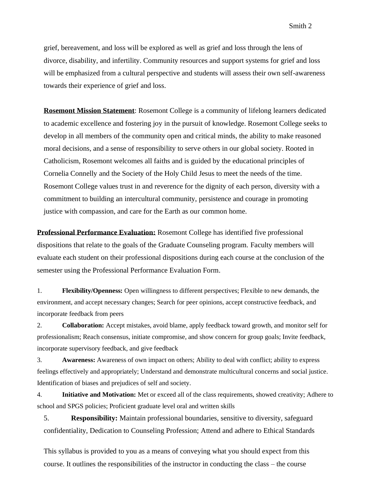grief, bereavement, and loss will be explored as well as grief and loss through the lens of divorce, disability, and infertility. Community resources and support systems for grief and loss will be emphasized from a cultural perspective and students will assess their own self-awareness towards their experience of grief and loss.

**Rosemont Mission Statement**: Rosemont College is a community of lifelong learners dedicated to academic excellence and fostering joy in the pursuit of knowledge. Rosemont College seeks to develop in all members of the community open and critical minds, the ability to make reasoned moral decisions, and a sense of responsibility to serve others in our global society. Rooted in Catholicism, Rosemont welcomes all faiths and is guided by the educational principles of Cornelia Connelly and the Society of the Holy Child Jesus to meet the needs of the time. Rosemont College values trust in and reverence for the dignity of each person, diversity with a commitment to building an intercultural community, persistence and courage in promoting justice with compassion, and care for the Earth as our common home.

**Professional Performance Evaluation:** Rosemont College has identified five professional dispositions that relate to the goals of the Graduate Counseling program. Faculty members will evaluate each student on their professional dispositions during each course at the conclusion of the semester using the Professional Performance Evaluation Form.

1. **Flexibility/Openness:** Open willingness to different perspectives; Flexible to new demands, the environment, and accept necessary changes; Search for peer opinions, accept constructive feedback, and incorporate feedback from peers

2. **Collaboration:** Accept mistakes, avoid blame, apply feedback toward growth, and monitor self for professionalism; Reach consensus, initiate compromise, and show concern for group goals; Invite feedback, incorporate supervisory feedback, and give feedback

3. **Awareness:** Awareness of own impact on others; Ability to deal with conflict; ability to express feelings effectively and appropriately; Understand and demonstrate multicultural concerns and social justice. Identification of biases and prejudices of self and society.

4. **Initiative and Motivation:** Met or exceed all of the class requirements, showed creativity; Adhere to school and SPGS policies; Proficient graduate level oral and written skills

5. **Responsibility:** Maintain professional boundaries, sensitive to diversity, safeguard confidentiality, Dedication to Counseling Profession; Attend and adhere to Ethical Standards

This syllabus is provided to you as a means of conveying what you should expect from this course. It outlines the responsibilities of the instructor in conducting the class – the course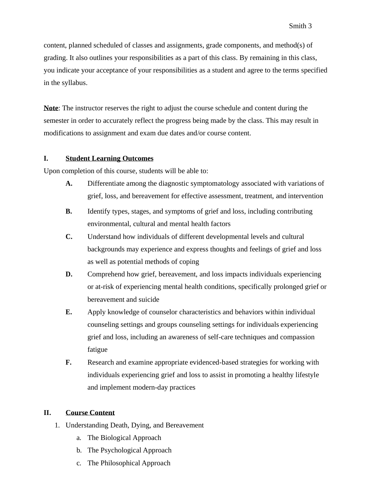content, planned scheduled of classes and assignments, grade components, and method(s) of grading. It also outlines your responsibilities as a part of this class. By remaining in this class, you indicate your acceptance of your responsibilities as a student and agree to the terms specified in the syllabus.

**Note**: The instructor reserves the right to adjust the course schedule and content during the semester in order to accurately reflect the progress being made by the class. This may result in modifications to assignment and exam due dates and/or course content.

## **I. Student Learning Outcomes**

Upon completion of this course, students will be able to:

- **A.** Differentiate among the diagnostic symptomatology associated with variations of grief, loss, and bereavement for effective assessment, treatment, and intervention
- **B.** Identify types, stages, and symptoms of grief and loss, including contributing environmental, cultural and mental health factors
- **C.** Understand how individuals of different developmental levels and cultural backgrounds may experience and express thoughts and feelings of grief and loss as well as potential methods of coping
- **D.** Comprehend how grief, bereavement, and loss impacts individuals experiencing or at-risk of experiencing mental health conditions, specifically prolonged grief or bereavement and suicide
- **E.** Apply knowledge of counselor characteristics and behaviors within individual counseling settings and groups counseling settings for individuals experiencing grief and loss, including an awareness of self-care techniques and compassion fatigue
- **F.** Research and examine appropriate evidenced-based strategies for working with individuals experiencing grief and loss to assist in promoting a healthy lifestyle and implement modern-day practices

## **II. Course Content**

- 1. Understanding Death, Dying, and Bereavement
	- a. The Biological Approach
	- b. The Psychological Approach
	- c. The Philosophical Approach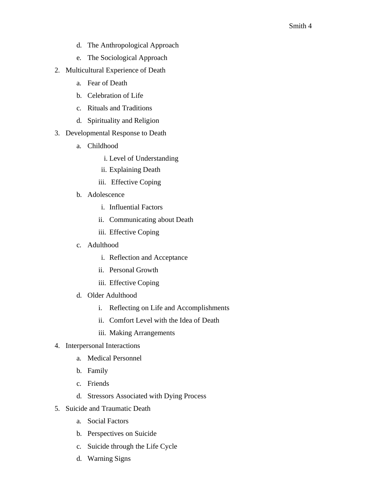- d. The Anthropological Approach
- e. The Sociological Approach
- 2. Multicultural Experience of Death
	- a. Fear of Death
	- b. Celebration of Life
	- c. Rituals and Traditions
	- d. Spirituality and Religion
- 3. Developmental Response to Death
	- a. Childhood
		- i. Level of Understanding
		- ii. Explaining Death
		- iii. Effective Coping
	- b. Adolescence
		- i. Influential Factors
		- ii. Communicating about Death
		- iii. Effective Coping
	- c. Adulthood
		- i. Reflection and Acceptance
		- ii. Personal Growth
		- iii. Effective Coping
	- d. Older Adulthood
		- i. Reflecting on Life and Accomplishments
		- ii. Comfort Level with the Idea of Death
		- iii. Making Arrangements
- 4. Interpersonal Interactions
	- a. Medical Personnel
	- b. Family
	- c. Friends
	- d. Stressors Associated with Dying Process
- 5. Suicide and Traumatic Death
	- a. Social Factors
	- b. Perspectives on Suicide
	- c. Suicide through the Life Cycle
	- d. Warning Signs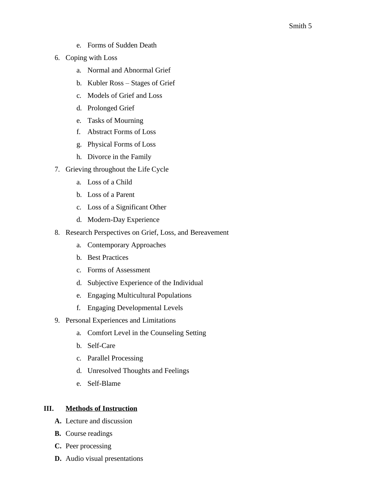- e. Forms of Sudden Death
- 6. Coping with Loss
	- a. Normal and Abnormal Grief
	- b. Kubler Ross Stages of Grief
	- c. Models of Grief and Loss
	- d. Prolonged Grief
	- e. Tasks of Mourning
	- f. Abstract Forms of Loss
	- g. Physical Forms of Loss
	- h. Divorce in the Family
- 7. Grieving throughout the Life Cycle
	- a. Loss of a Child
	- b. Loss of a Parent
	- c. Loss of a Significant Other
	- d. Modern-Day Experience
- 8. Research Perspectives on Grief, Loss, and Bereavement
	- a. Contemporary Approaches
	- b. Best Practices
	- c. Forms of Assessment
	- d. Subjective Experience of the Individual
	- e. Engaging Multicultural Populations
	- f. Engaging Developmental Levels
- 9. Personal Experiences and Limitations
	- a. Comfort Level in the Counseling Setting
	- b. Self-Care
	- c. Parallel Processing
	- d. Unresolved Thoughts and Feelings
	- e. Self-Blame

## **III. Methods of Instruction**

- **A.** Lecture and discussion
- **B.** Course readings
- **C.** Peer processing
- **D.** Audio visual presentations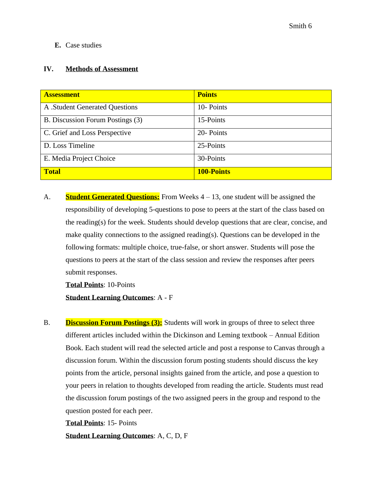## **E.** Case studies

### **IV. Methods of Assessment**

| <b>Assessment</b>                | <b>Points</b>     |
|----------------------------------|-------------------|
| A .Student Generated Questions   | 10-Points         |
| B. Discussion Forum Postings (3) | 15-Points         |
| C. Grief and Loss Perspective    | 20- Points        |
| D. Loss Timeline                 | 25-Points         |
| E. Media Project Choice          | 30-Points         |
| <b>Total</b>                     | <b>100-Points</b> |

A. **Student Generated Questions:** From Weeks 4 – 13, one student will be assigned the responsibility of developing 5-questions to pose to peers at the start of the class based on the reading(s) for the week. Students should develop questions that are clear, concise, and make quality connections to the assigned reading(s). Questions can be developed in the following formats: multiple choice, true-false, or short answer. Students will pose the questions to peers at the start of the class session and review the responses after peers submit responses.

**Total Points**: 10-Points

**Student Learning Outcomes**: A - F

B. **Discussion Forum Postings (3):** Students will work in groups of three to select three different articles included within the Dickinson and Leming textbook – Annual Edition Book. Each student will read the selected article and post a response to Canvas through a discussion forum. Within the discussion forum posting students should discuss the key points from the article, personal insights gained from the article, and pose a question to your peers in relation to thoughts developed from reading the article. Students must read the discussion forum postings of the two assigned peers in the group and respond to the question posted for each peer.

**Total Points**: 15- Points

**Student Learning Outcomes**: A, C, D, F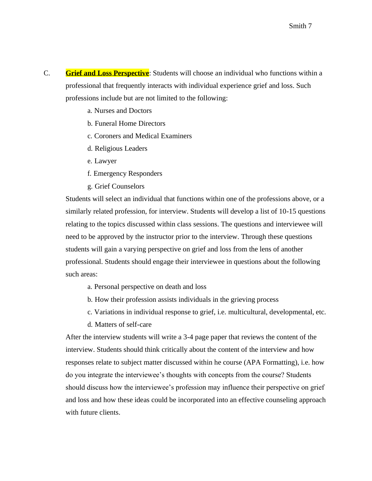- C. **Grief and Loss Perspective**: Students will choose an individual who functions within a professional that frequently interacts with individual experience grief and loss. Such professions include but are not limited to the following:
	- a. Nurses and Doctors
	- b. Funeral Home Directors
	- c. Coroners and Medical Examiners
	- d. Religious Leaders
	- e. Lawyer
	- f. Emergency Responders
	- g. Grief Counselors

Students will select an individual that functions within one of the professions above, or a similarly related profession, for interview. Students will develop a list of 10-15 questions relating to the topics discussed within class sessions. The questions and interviewee will need to be approved by the instructor prior to the interview. Through these questions students will gain a varying perspective on grief and loss from the lens of another professional. Students should engage their interviewee in questions about the following such areas:

- a. Personal perspective on death and loss
- b. How their profession assists individuals in the grieving process
- c. Variations in individual response to grief, i.e. multicultural, developmental, etc.
- d. Matters of self-care

After the interview students will write a 3-4 page paper that reviews the content of the interview. Students should think critically about the content of the interview and how responses relate to subject matter discussed within he course (APA Formatting), i.e. how do you integrate the interviewee's thoughts with concepts from the course? Students should discuss how the interviewee's profession may influence their perspective on grief and loss and how these ideas could be incorporated into an effective counseling approach with future clients.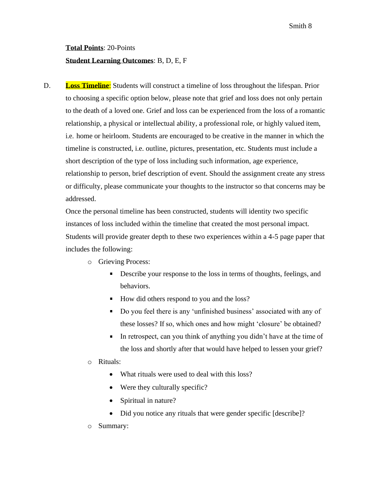# **Total Points**: 20-Points **Student Learning Outcomes**: B, D, E, F

D. **Loss Timeline:** Students will construct a timeline of loss throughout the lifespan. Prior to choosing a specific option below, please note that grief and loss does not only pertain to the death of a loved one. Grief and loss can be experienced from the loss of a romantic relationship, a physical or intellectual ability, a professional role, or highly valued item, i.e. home or heirloom. Students are encouraged to be creative in the manner in which the timeline is constructed, i.e. outline, pictures, presentation, etc. Students must include a short description of the type of loss including such information, age experience, relationship to person, brief description of event. Should the assignment create any stress or difficulty, please communicate your thoughts to the instructor so that concerns may be addressed.

Once the personal timeline has been constructed, students will identity two specific instances of loss included within the timeline that created the most personal impact. Students will provide greater depth to these two experiences within a 4-5 page paper that includes the following:

- o Grieving Process:
	- Describe your response to the loss in terms of thoughts, feelings, and behaviors.
	- How did others respond to you and the loss?
	- Do you feel there is any 'unfinished business' associated with any of these losses? If so, which ones and how might 'closure' be obtained?
	- In retrospect, can you think of anything you didn't have at the time of the loss and shortly after that would have helped to lessen your grief?
- o Rituals:
	- What rituals were used to deal with this loss?
	- Were they culturally specific?
	- Spiritual in nature?
	- Did you notice any rituals that were gender specific [describe]?
- o Summary: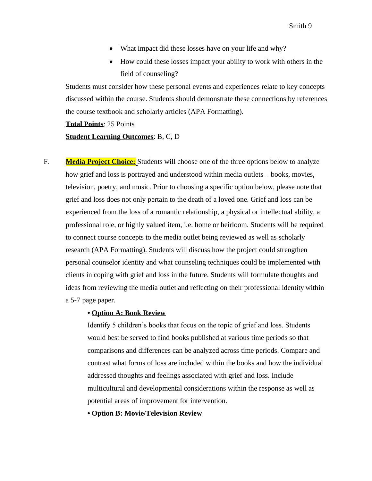- What impact did these losses have on your life and why?
- How could these losses impact your ability to work with others in the field of counseling?

Students must consider how these personal events and experiences relate to key concepts discussed within the course. Students should demonstrate these connections by references the course textbook and scholarly articles (APA Formatting).

**Total Points**: 25 Points

#### **Student Learning Outcomes**: B, C, D

F. **Media Project Choice:** Students will choose one of the three options below to analyze how grief and loss is portrayed and understood within media outlets – books, movies, television, poetry, and music. Prior to choosing a specific option below, please note that grief and loss does not only pertain to the death of a loved one. Grief and loss can be experienced from the loss of a romantic relationship, a physical or intellectual ability, a professional role, or highly valued item, i.e. home or heirloom. Students will be required to connect course concepts to the media outlet being reviewed as well as scholarly research (APA Formatting). Students will discuss how the project could strengthen personal counselor identity and what counseling techniques could be implemented with clients in coping with grief and loss in the future. Students will formulate thoughts and ideas from reviewing the media outlet and reflecting on their professional identity within a 5-7 page paper.

#### **• Option A: Book Review**

Identify 5 children's books that focus on the topic of grief and loss. Students would best be served to find books published at various time periods so that comparisons and differences can be analyzed across time periods. Compare and contrast what forms of loss are included within the books and how the individual addressed thoughts and feelings associated with grief and loss. Include multicultural and developmental considerations within the response as well as potential areas of improvement for intervention.

**• Option B: Movie/Television Review**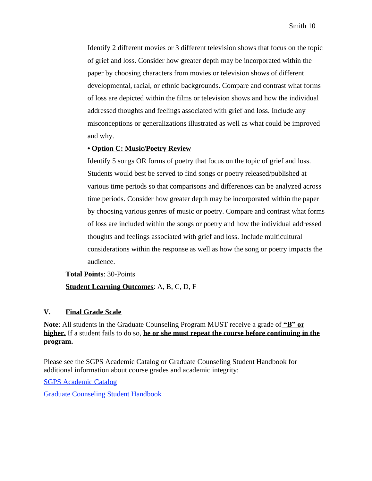Identify 2 different movies or 3 different television shows that focus on the topic of grief and loss. Consider how greater depth may be incorporated within the paper by choosing characters from movies or television shows of different developmental, racial, or ethnic backgrounds. Compare and contrast what forms of loss are depicted within the films or television shows and how the individual addressed thoughts and feelings associated with grief and loss. Include any misconceptions or generalizations illustrated as well as what could be improved and why.

#### **• Option C: Music/Poetry Review**

Identify 5 songs OR forms of poetry that focus on the topic of grief and loss. Students would best be served to find songs or poetry released/published at various time periods so that comparisons and differences can be analyzed across time periods. Consider how greater depth may be incorporated within the paper by choosing various genres of music or poetry. Compare and contrast what forms of loss are included within the songs or poetry and how the individual addressed thoughts and feelings associated with grief and loss. Include multicultural considerations within the response as well as how the song or poetry impacts the audience.

## **Total Points**: 30-Points **Student Learning Outcomes**: A, B, C, D, F

#### **V. Final Grade Scale**

**Note**: All students in the Graduate Counseling Program MUST receive a grade of **"B" or higher.** If a student fails to do so, **he or she must repeat the course before continuing in the program.**

Please see the SGPS Academic Catalog or Graduate Counseling Student Handbook for additional information about course grades and academic integrity:

SGPS Academic Catalog

Graduate Counseling Student Handbook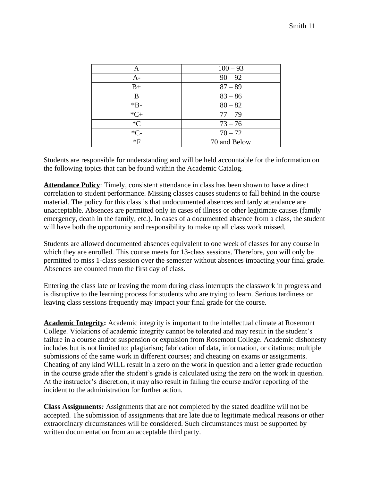| A      | $100 - 93$   |
|--------|--------------|
| $A -$  | $90 - 92$    |
| $B+$   | $87 - 89$    |
| B      | $83 - 86$    |
| $*B-$  | $80 - 82$    |
| $*C+$  | $77 - 79$    |
| $C^*C$ | $73 - 76$    |
| $*C-$  | $70 - 72$    |
| *F     | 70 and Below |

Students are responsible for understanding and will be held accountable for the information on the following topics that can be found within the Academic Catalog.

**Attendance Policy**: Timely, consistent attendance in class has been shown to have a direct correlation to student performance. Missing classes causes students to fall behind in the course material. The policy for this class is that undocumented absences and tardy attendance are unacceptable. Absences are permitted only in cases of illness or other legitimate causes (family emergency, death in the family, etc.). In cases of a documented absence from a class, the student will have both the opportunity and responsibility to make up all class work missed.

Students are allowed documented absences equivalent to one week of classes for any course in which they are enrolled. This course meets for 13-class sessions. Therefore, you will only be permitted to miss 1-class session over the semester without absences impacting your final grade. Absences are counted from the first day of class.

Entering the class late or leaving the room during class interrupts the classwork in progress and is disruptive to the learning process for students who are trying to learn. Serious tardiness or leaving class sessions frequently may impact your final grade for the course.

**Academic Integrity:** Academic integrity is important to the intellectual climate at Rosemont College. Violations of academic integrity cannot be tolerated and may result in the student's failure in a course and/or suspension or expulsion from Rosemont College. Academic dishonesty includes but is not limited to: plagiarism; fabrication of data, information, or citations; multiple submissions of the same work in different courses; and cheating on exams or assignments. Cheating of any kind WILL result in a zero on the work in question and a letter grade reduction in the course grade after the student's grade is calculated using the zero on the work in question. At the instructor's discretion, it may also result in failing the course and/or reporting of the incident to the administration for further action.

**Class Assignments***:* Assignments that are not completed by the stated deadline will not be accepted. The submission of assignments that are late due to legitimate medical reasons or other extraordinary circumstances will be considered. Such circumstances must be supported by written documentation from an acceptable third party.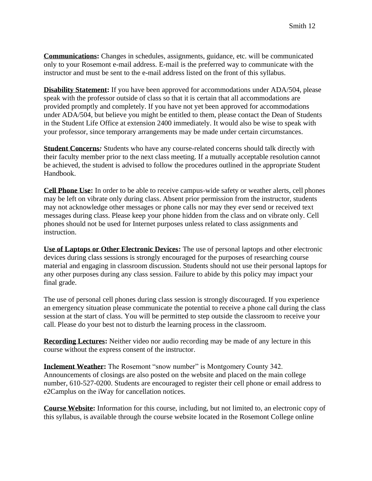**Communications:** Changes in schedules, assignments, guidance, etc. will be communicated only to your Rosemont e-mail address. E-mail is the preferred way to communicate with the instructor and must be sent to the e-mail address listed on the front of this syllabus.

**Disability Statement:** If you have been approved for accommodations under ADA/504, please speak with the professor outside of class so that it is certain that all accommodations are provided promptly and completely. If you have not yet been approved for accommodations under ADA/504, but believe you might be entitled to them, please contact the Dean of Students in the Student Life Office at extension 2400 immediately. It would also be wise to speak with your professor, since temporary arrangements may be made under certain circumstances.

**Student Concerns***:* Students who have any course-related concerns should talk directly with their faculty member prior to the next class meeting. If a mutually acceptable resolution cannot be achieved, the student is advised to follow the procedures outlined in the appropriate Student Handbook.

**Cell Phone Use:** In order to be able to receive campus-wide safety or weather alerts, cell phones may be left on vibrate only during class. Absent prior permission from the instructor, students may not acknowledge other messages or phone calls nor may they ever send or received text messages during class. Please keep your phone hidden from the class and on vibrate only. Cell phones should not be used for Internet purposes unless related to class assignments and instruction.

**Use of Laptops or Other Electronic Devices:** The use of personal laptops and other electronic devices during class sessions is strongly encouraged for the purposes of researching course material and engaging in classroom discussion. Students should not use their personal laptops for any other purposes during any class session. Failure to abide by this policy may impact your final grade.

The use of personal cell phones during class session is strongly discouraged. If you experience an emergency situation please communicate the potential to receive a phone call during the class session at the start of class. You will be permitted to step outside the classroom to receive your call. Please do your best not to disturb the learning process in the classroom.

**Recording Lectures:** Neither video nor audio recording may be made of any lecture in this course without the express consent of the instructor.

**Inclement Weather:** The Rosemont "snow number" is Montgomery County 342. Announcements of closings are also posted on the website and placed on the main college number, 610-527-0200. Students are encouraged to register their cell phone or email address to e2Camplus on the iWay for cancellation notices.

**Course Website:** Information for this course, including, but not limited to, an electronic copy of this syllabus, is available through the course website located in the Rosemont College online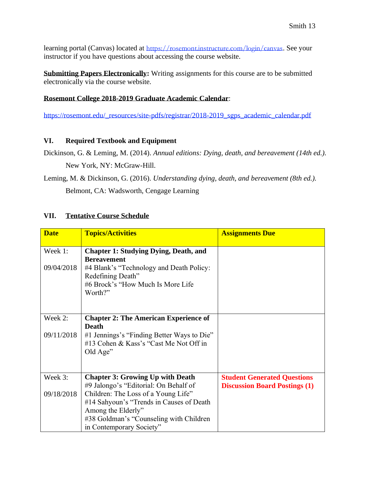learning portal (Canvas) located at <https://rosemont.instructure.com/login/canvas>. See your instructor if you have questions about accessing the course website.

**Submitting Papers Electronically:** Writing assignments for this course are to be submitted electronically via the course website.

## **Rosemont College 2018-2019 Graduate Academic Calendar**:

[https://rosemont.edu/\\_resources/site-pdfs/registrar/2018-2019\\_sgps\\_academic\\_calendar.pdf](https://rosemont.edu/_resources/site-pdfs/registrar/2018-2019_sgps_academic_calendar.pdf)

## **VI. Required Textbook and Equipment**

Dickinson, G. & Leming, M. (2014). *Annual editions: Dying, death, and bereavement (14th ed.).* New York, NY: McGraw-Hill.

Leming, M. & Dickinson, G. (2016). *Understanding dying, death, and bereavement (8th ed.).* Belmont, CA: Wadsworth, Cengage Learning

## **VII. Tentative Course Schedule**

| <b>Date</b> | <b>Topics/Activities</b>                     | <b>Assignments Due</b>               |
|-------------|----------------------------------------------|--------------------------------------|
|             |                                              |                                      |
| Week 1:     | <b>Chapter 1: Studying Dying, Death, and</b> |                                      |
|             | <b>Bereavement</b>                           |                                      |
| 09/04/2018  | #4 Blank's "Technology and Death Policy:     |                                      |
|             | Redefining Death"                            |                                      |
|             | #6 Brock's "How Much Is More Life            |                                      |
|             | Worth?"                                      |                                      |
|             |                                              |                                      |
|             |                                              |                                      |
| Week 2:     | <b>Chapter 2: The American Experience of</b> |                                      |
|             | <b>Death</b>                                 |                                      |
| 09/11/2018  | #1 Jennings's "Finding Better Ways to Die"   |                                      |
|             | #13 Cohen & Kass's "Cast Me Not Off in       |                                      |
|             | Old Age"                                     |                                      |
|             |                                              |                                      |
|             |                                              |                                      |
| Week 3:     | <b>Chapter 3: Growing Up with Death</b>      | <b>Student Generated Questions</b>   |
|             | #9 Jalongo's "Editorial: On Behalf of        | <b>Discussion Board Postings (1)</b> |
| 09/18/2018  | Children: The Loss of a Young Life"          |                                      |
|             | #14 Sahyoun's "Trends in Causes of Death     |                                      |
|             | Among the Elderly"                           |                                      |
|             | #38 Goldman's "Counseling with Children"     |                                      |
|             |                                              |                                      |
|             | in Contemporary Society"                     |                                      |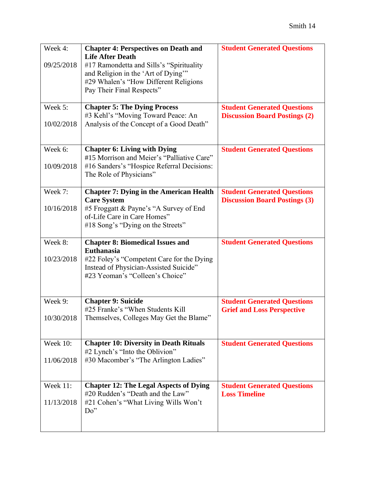| Week 4:         | <b>Chapter 4: Perspectives on Death and</b>                                 | <b>Student Generated Questions</b>                         |
|-----------------|-----------------------------------------------------------------------------|------------------------------------------------------------|
|                 | <b>Life After Death</b>                                                     |                                                            |
| 09/25/2018      | #17 Ramondetta and Sills's "Spirituality"                                   |                                                            |
|                 | and Religion in the 'Art of Dying"<br>#29 Whalen's "How Different Religions |                                                            |
|                 | Pay Their Final Respects"                                                   |                                                            |
|                 |                                                                             |                                                            |
| Week 5:         | <b>Chapter 5: The Dying Process</b>                                         | <b>Student Generated Questions</b>                         |
|                 | #3 Kehl's "Moving Toward Peace: An                                          | <b>Discussion Board Postings (2)</b>                       |
| 10/02/2018      | Analysis of the Concept of a Good Death"                                    |                                                            |
|                 |                                                                             |                                                            |
|                 |                                                                             |                                                            |
| Week 6:         | <b>Chapter 6: Living with Dying</b>                                         | <b>Student Generated Questions</b>                         |
|                 | #15 Morrison and Meier's "Palliative Care"                                  |                                                            |
| 10/09/2018      | #16 Sanders's "Hospice Referral Decisions:                                  |                                                            |
|                 | The Role of Physicians"                                                     |                                                            |
|                 |                                                                             |                                                            |
| Week 7:         | <b>Chapter 7: Dying in the American Health</b>                              | <b>Student Generated Questions</b>                         |
|                 | <b>Care System</b>                                                          | <b>Discussion Board Postings (3)</b>                       |
| 10/16/2018      | #5 Froggatt & Payne's "A Survey of End<br>of-Life Care in Care Homes"       |                                                            |
|                 | #18 Song's "Dying on the Streets"                                           |                                                            |
|                 |                                                                             |                                                            |
|                 |                                                                             |                                                            |
| Week 8:         |                                                                             |                                                            |
|                 | <b>Chapter 8: Biomedical Issues and</b><br><b>Euthanasia</b>                | <b>Student Generated Questions</b>                         |
| 10/23/2018      | #22 Foley's "Competent Care for the Dying                                   |                                                            |
|                 | Instead of Physician-Assisted Suicide"                                      |                                                            |
|                 | #23 Yeoman's "Colleen's Choice"                                             |                                                            |
|                 |                                                                             |                                                            |
|                 |                                                                             |                                                            |
| Week 9:         | <b>Chapter 9: Suicide</b>                                                   | <b>Student Generated Questions</b>                         |
|                 | #25 Franke's "When Students Kill                                            | <b>Grief and Loss Perspective</b>                          |
| 10/30/2018      | Themselves, Colleges May Get the Blame"                                     |                                                            |
|                 |                                                                             |                                                            |
|                 |                                                                             |                                                            |
| <b>Week 10:</b> | <b>Chapter 10: Diversity in Death Rituals</b>                               | <b>Student Generated Questions</b>                         |
|                 | #2 Lynch's "Into the Oblivion"                                              |                                                            |
| 11/06/2018      | #30 Macomber's "The Arlington Ladies"                                       |                                                            |
|                 |                                                                             |                                                            |
| Week 11:        | <b>Chapter 12: The Legal Aspects of Dying</b>                               |                                                            |
|                 | #20 Rudden's "Death and the Law"                                            | <b>Student Generated Questions</b><br><b>Loss Timeline</b> |
| 11/13/2018      | #21 Cohen's "What Living Wills Won't                                        |                                                            |
|                 | Do''                                                                        |                                                            |
|                 |                                                                             |                                                            |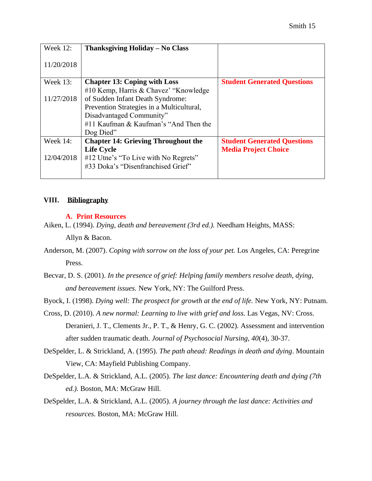| <b>Week 12:</b> | Thanksgiving Holiday – No Class            |                                    |
|-----------------|--------------------------------------------|------------------------------------|
| 11/20/2018      |                                            |                                    |
| Week 13:        | <b>Chapter 13: Coping with Loss</b>        | <b>Student Generated Questions</b> |
|                 | #10 Kemp, Harris & Chavez' "Knowledge"     |                                    |
| 11/27/2018      | of Sudden Infant Death Syndrome:           |                                    |
|                 | Prevention Strategies in a Multicultural,  |                                    |
|                 | Disadvantaged Community"                   |                                    |
|                 | #11 Kaufman & Kaufman's "And Then the      |                                    |
|                 | Dog Died"                                  |                                    |
| Week $14$ :     | <b>Chapter 14: Grieving Throughout the</b> | <b>Student Generated Questions</b> |
|                 | <b>Life Cycle</b>                          | <b>Media Project Choice</b>        |
| 12/04/2018      | #12 Utne's "To Live with No Regrets"       |                                    |
|                 | #33 Doka's "Disenfranchised Grief"         |                                    |
|                 |                                            |                                    |

### **VIII. Bibliography**

#### **A. Print Resources**

Aiken, L. (1994). *Dying, death and bereavement (3rd ed.).* Needham Heights, MASS:

Allyn & Bacon.

- Anderson, M. (2007). *Coping with sorrow on the loss of your pet.* Los Angeles, CA: Peregrine Press.
- Becvar, D. S. (2001). *In the presence of grief: Helping family members resolve death, dying, and bereavement issues.* New York, NY: The Guilford Press.
- Byock, I. (1998). *Dying well: The prospect for growth at the end of life*. New York, NY: Putnam.
- Cross, D. (2010). *A new normal: Learning to live with grief and loss.* Las Vegas, NV: Cross. Deranieri, J. T., Clements Jr., P. T., & Henry, G. C. (2002). Assessment and intervention after sudden traumatic death. *Journal of Psychosocial Nursing, 40*(4), 30-37.
- DeSpelder, L. & Strickland, A. (1995). *The path ahead: Readings in death and dying*. Mountain View, CA: Mayfield Publishing Company.
- DeSpelder, L.A. & Strickland, A.L. (2005). *The last dance: Encountering death and dying (7th ed.).* Boston, MA: McGraw Hill.
- DeSpelder, L.A. & Strickland, A.L. (2005). *A journey through the last dance: Activities and resources.* Boston, MA: McGraw Hill.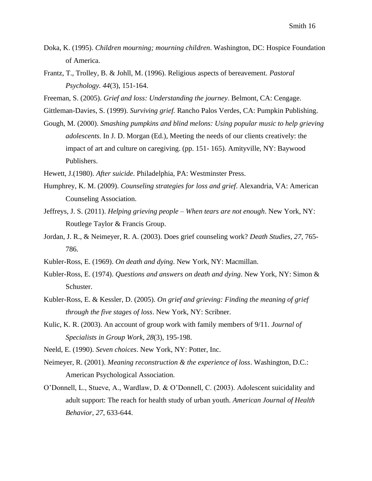- Doka, K. (1995). *Children mourning; mourning children*. Washington, DC: Hospice Foundation of America.
- Frantz, T., Trolley, B. & Johll, M. (1996). Religious aspects of bereavement. *Pastoral Psychology. 44*(3), 151-164.
- Freeman, S. (2005). *Grief and loss: Understanding the journey*. Belmont, CA: Cengage.
- Gittleman-Davies, S. (1999). *Surviving grief.* Rancho Palos Verdes, CA: Pumpkin Publishing.
- Gough, M. (2000). *Smashing pumpkins and blind melons: Using popular music to help grieving adolescents.* In J. D. Morgan (Ed.), Meeting the needs of our clients creatively: the impact of art and culture on caregiving. (pp. 151- 165). Amityville, NY: Baywood Publishers.
- Hewett, J.(1980). *After suicide*. Philadelphia, PA: Westminster Press.
- Humphrey, K. M. (2009). *Counseling strategies for loss and grief*. Alexandria, VA: American Counseling Association.
- Jeffreys, J. S. (2011). *Helping grieving people – When tears are not enough*. New York, NY: Routlege Taylor & Francis Group.
- Jordan, J. R., & Neimeyer, R. A. (2003). Does grief counseling work? *Death Studies, 27*, 765- 786.
- Kubler-Ross, E. (1969). *On death and dying*. New York, NY: Macmillan.
- Kubler-Ross, E. (1974). *Questions and answers on death and dying*. New York, NY: Simon & Schuster.
- Kubler-Ross, E. & Kessler, D. (2005). *On grief and grieving: Finding the meaning of grief through the five stages of loss*. New York, NY: Scribner.
- Kulic, K. R. (2003). An account of group work with family members of 9/11. *Journal of Specialists in Group Work, 28*(3), 195-198.
- Neeld, E. (1990). *Seven choices*. New York, NY: Potter, Inc.
- Neimeyer, R. (2001). *Meaning reconstruction & the experience of loss*. Washington, D.C.: American Psychological Association.
- O'Donnell, L., Stueve, A., Wardlaw, D. & O'Donnell, C. (2003). Adolescent suicidality and adult support: The reach for health study of urban youth. *American Journal of Health Behavior, 27*, 633-644.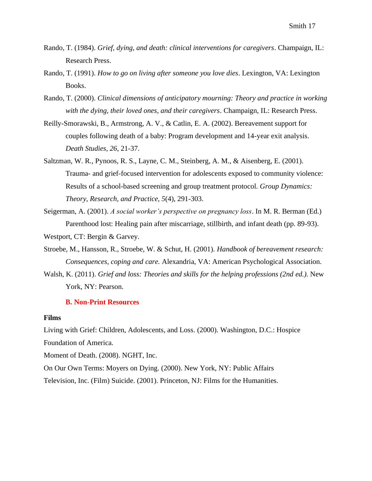- Rando, T. (1984). *Grief, dying, and death: clinical interventions for caregivers*. Champaign, IL: Research Press.
- Rando, T. (1991). *How to go on living after someone you love dies*. Lexington, VA: Lexington Books.
- Rando, T. (2000). *Clinical dimensions of anticipatory mourning: Theory and practice in working with the dying, their loved ones, and their caregivers*. Champaign, IL: Research Press.
- Reilly-Smorawski, B., Armstrong, A. V., & Catlin, E. A. (2002). Bereavement support for couples following death of a baby: Program development and 14-year exit analysis. *Death Studies, 26*, 21-37.
- Saltzman, W. R., Pynoos, R. S., Layne, C. M., Steinberg, A. M., & Aisenberg, E. (2001). Trauma- and grief-focused intervention for adolescents exposed to community violence: Results of a school-based screening and group treatment protocol. *Group Dynamics: Theory, Research, and Practice, 5*(4), 291-303.
- Seigerman, A. (2001). *A social worker's perspective on pregnancy loss*. In M. R. Berman (Ed.) Parenthood lost: Healing pain after miscarriage, stillbirth, and infant death (pp. 89-93).
- Westport, CT: Bergin & Garvey.
- Stroebe, M., Hansson, R., Stroebe, W. & Schut, H. (2001). *Handbook of bereavement research: Consequences, coping and care.* Alexandria, VA: American Psychological Association.
- Walsh, K. (2011). *Grief and loss: Theories and skills for the helping professions (2nd ed.).* New York, NY: Pearson.

#### **B. Non-Print Resources**

#### **Films**

Living with Grief: Children, Adolescents, and Loss. (2000). Washington, D.C.: Hospice Foundation of America.

Moment of Death. (2008). NGHT, Inc.

On Our Own Terms: Moyers on Dying. (2000). New York, NY: Public Affairs

Television, Inc. (Film) Suicide. (2001). Princeton, NJ: Films for the Humanities.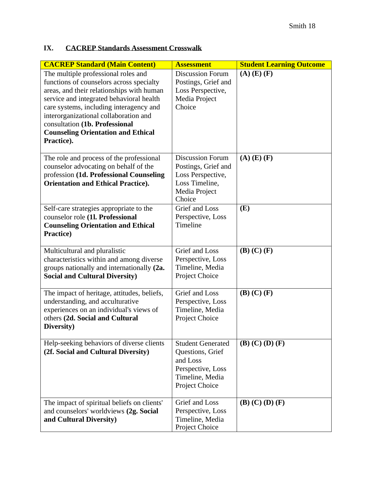## **IX. CACREP Standards Assessment Crosswalk**

| <b>CACREP Standard (Main Content)</b>                                                                                                                                                                                                                                                                                                                     | <b>Assessment</b>                                                                                                  | <b>Student Learning Outcome</b> |
|-----------------------------------------------------------------------------------------------------------------------------------------------------------------------------------------------------------------------------------------------------------------------------------------------------------------------------------------------------------|--------------------------------------------------------------------------------------------------------------------|---------------------------------|
| The multiple professional roles and<br>functions of counselors across specialty<br>areas, and their relationships with human<br>service and integrated behavioral health<br>care systems, including interagency and<br>interorganizational collaboration and<br>consultation (1b. Professional<br><b>Counseling Orientation and Ethical</b><br>Practice). | <b>Discussion Forum</b><br>Postings, Grief and<br>Loss Perspective,<br>Media Project<br>Choice                     | $(A)$ $(E)$ $(F)$               |
| The role and process of the professional<br>counselor advocating on behalf of the<br>profession (1d. Professional Counseling<br><b>Orientation and Ethical Practice).</b>                                                                                                                                                                                 | <b>Discussion Forum</b><br>Postings, Grief and<br>Loss Perspective,<br>Loss Timeline,<br>Media Project<br>Choice   | $(A)$ $(E)$ $(F)$               |
| Self-care strategies appropriate to the<br>counselor role (1l. Professional<br><b>Counseling Orientation and Ethical</b><br>Practice)                                                                                                                                                                                                                     | Grief and Loss<br>Perspective, Loss<br>Timeline                                                                    | (E)                             |
| Multicultural and pluralistic<br>characteristics within and among diverse<br>groups nationally and internationally (2a.<br><b>Social and Cultural Diversity)</b>                                                                                                                                                                                          | Grief and Loss<br>Perspective, Loss<br>Timeline, Media<br>Project Choice                                           | $(B)$ $(C)$ $(F)$               |
| The impact of heritage, attitudes, beliefs,<br>understanding, and acculturative<br>experiences on an individual's views of<br>others (2d. Social and Cultural<br>Diversity)                                                                                                                                                                               | Grief and Loss<br>Perspective, Loss<br>Timeline, Media<br>Project Choice                                           | $(B)$ $(C)$ $(F)$               |
| Help-seeking behaviors of diverse clients<br>(2f. Social and Cultural Diversity)                                                                                                                                                                                                                                                                          | <b>Student Generated</b><br>Questions, Grief<br>and Loss<br>Perspective, Loss<br>Timeline, Media<br>Project Choice | $(B)$ $(C)$ $(D)$ $(F)$         |
| The impact of spiritual beliefs on clients'<br>and counselors' worldviews (2g. Social<br>and Cultural Diversity)                                                                                                                                                                                                                                          | Grief and Loss<br>Perspective, Loss<br>Timeline, Media<br>Project Choice                                           | $(B)$ $(C)$ $(D)$ $(F)$         |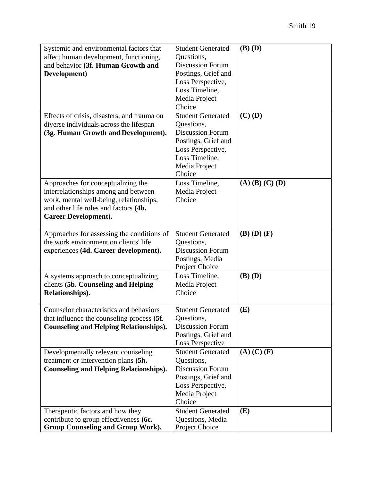| Systemic and environmental factors that       | <b>Student Generated</b> | $(B)$ $(D)$                 |
|-----------------------------------------------|--------------------------|-----------------------------|
| affect human development, functioning,        | Questions,               |                             |
| and behavior (3f. Human Growth and            | <b>Discussion Forum</b>  |                             |
| Development)                                  | Postings, Grief and      |                             |
|                                               | Loss Perspective,        |                             |
|                                               | Loss Timeline,           |                             |
|                                               | Media Project            |                             |
|                                               | Choice                   |                             |
| Effects of crisis, disasters, and trauma on   | <b>Student Generated</b> | $\overline{\text{(C)}}$ (D) |
| diverse individuals across the lifespan       | Questions,               |                             |
| (3g. Human Growth and Development).           | <b>Discussion Forum</b>  |                             |
|                                               | Postings, Grief and      |                             |
|                                               | Loss Perspective,        |                             |
|                                               | Loss Timeline,           |                             |
|                                               | Media Project            |                             |
|                                               | Choice                   |                             |
| Approaches for conceptualizing the            | Loss Timeline,           | $(A)$ $(B)$ $(C)$ $(D)$     |
| interrelationships among and between          | Media Project            |                             |
| work, mental well-being, relationships,       | Choice                   |                             |
| and other life roles and factors (4b.         |                          |                             |
| <b>Career Development).</b>                   |                          |                             |
|                                               |                          |                             |
| Approaches for assessing the conditions of    | <b>Student Generated</b> | $(B)$ $(D)$ $(F)$           |
| the work environment on clients' life         | Questions,               |                             |
| experiences (4d. Career development).         | <b>Discussion Forum</b>  |                             |
|                                               | Postings, Media          |                             |
|                                               | Project Choice           |                             |
| A systems approach to conceptualizing         | Loss Timeline,           | $(B)$ $(D)$                 |
| clients (5b. Counseling and Helping           | Media Project            |                             |
| Relationships).                               | Choice                   |                             |
|                                               |                          |                             |
| Counselor characteristics and behaviors       | <b>Student Generated</b> | (E)                         |
| that influence the counseling process (5f.    | Questions,               |                             |
| <b>Counseling and Helping Relationships).</b> | <b>Discussion Forum</b>  |                             |
|                                               | Postings, Grief and      |                             |
|                                               | <b>Loss Perspective</b>  |                             |
| Developmentally relevant counseling           | <b>Student Generated</b> | $(A)$ $(C)$ $(F)$           |
| treatment or intervention plans (5h.          | Questions,               |                             |
| <b>Counseling and Helping Relationships).</b> | <b>Discussion Forum</b>  |                             |
|                                               | Postings, Grief and      |                             |
|                                               | Loss Perspective,        |                             |
|                                               | Media Project            |                             |
|                                               | Choice                   |                             |
| Therapeutic factors and how they              | <b>Student Generated</b> | (E)                         |
| contribute to group effectiveness (6c.        | Questions, Media         |                             |
| <b>Group Counseling and Group Work).</b>      | Project Choice           |                             |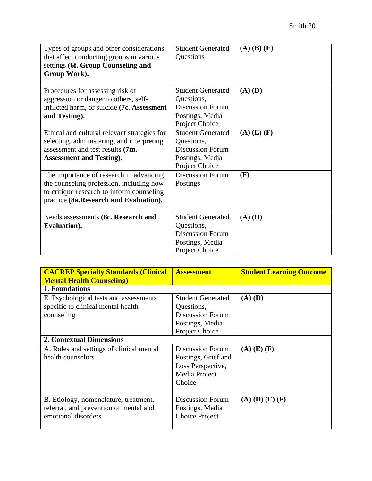| Types of groups and other considerations<br>that affect conducting groups in various<br>settings (6f. Group Counseling and<br>Group Work).                                 | <b>Student Generated</b><br>Questions                                                                  | $(A)$ $(B)$ $(E)$ |
|----------------------------------------------------------------------------------------------------------------------------------------------------------------------------|--------------------------------------------------------------------------------------------------------|-------------------|
| Procedures for assessing risk of<br>aggression or danger to others, self-<br>inflicted harm, or suicide (7c. Assessment<br>and Testing).                                   | <b>Student Generated</b><br>Questions,<br><b>Discussion Forum</b><br>Postings, Media<br>Project Choice | $(A)$ $(D)$       |
| Ethical and cultural relevant strategies for<br>selecting, administering, and interpreting<br>assessment and test results (7m.<br><b>Assessment and Testing).</b>          | <b>Student Generated</b><br>Questions,<br><b>Discussion Forum</b><br>Postings, Media<br>Project Choice | $(A)$ $(E)$ $(F)$ |
| The importance of research in advancing<br>the counseling profession, including how<br>to critique research to inform counseling<br>practice (8a.Research and Evaluation). | <b>Discussion Forum</b><br>Postings                                                                    | (F)               |
| Needs assessments (8c. Research and<br>Evaluation).                                                                                                                        | <b>Student Generated</b><br>Questions,<br><b>Discussion Forum</b><br>Postings, Media<br>Project Choice | $(A)$ $(D)$       |

| <b>CACREP Specialty Standards (Clinical</b><br><b>Mental Health Counseling</b> )                       | <b>Assessment</b>                                                                                      | <b>Student Learning Outcome</b> |
|--------------------------------------------------------------------------------------------------------|--------------------------------------------------------------------------------------------------------|---------------------------------|
| 1. Foundations                                                                                         |                                                                                                        |                                 |
| E. Psychological tests and assessments<br>specific to clinical mental health<br>counseling             | <b>Student Generated</b><br>Questions,<br><b>Discussion Forum</b><br>Postings, Media<br>Project Choice | $(A)$ $(D)$                     |
| <b>2. Contextual Dimensions</b>                                                                        |                                                                                                        |                                 |
| A. Roles and settings of clinical mental<br>health counselors                                          | <b>Discussion Forum</b><br>Postings, Grief and<br>Loss Perspective,<br>Media Project<br>Choice         | $(A)$ $(E)$ $(F)$               |
| B. Etiology, nomenclature, treatment,<br>referral, and prevention of mental and<br>emotional disorders | <b>Discussion Forum</b><br>Postings, Media<br>Choice Project                                           | $(A)$ $(D)$ $(E)$ $(F)$         |